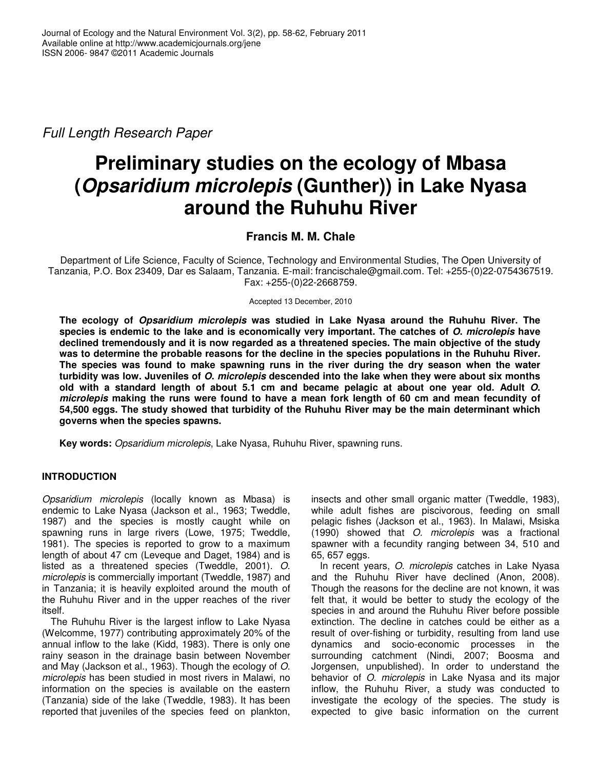*Full Length Research Paper*

# **Preliminary studies on the ecology of Mbasa (***Opsaridium microlepis* **(Gunther)) in Lake Nyasa around the Ruhuhu River**

## **Francis M. M. Chale**

Department of Life Science, Faculty of Science, Technology and Environmental Studies, The Open University of Tanzania, P.O. Box 23409, Dar es Salaam, Tanzania. E-mail: francischale@gmail.com. Tel: +255-(0)22-0754367519. Fax: +255-(0)22-2668759.

Accepted 13 December, 2010

**The ecology of** *Opsaridium microlepis* **was studied in Lake Nyasa around the Ruhuhu River. The** species is endemic to the lake and is economically very important. The catches of O. microlepis have **declined tremendously and it is now regarded as a threatened species. The main objective of the study was to determine the probable reasons for the decline in the species populations in the Ruhuhu River. The species was found to make spawning runs in the river during the dry season when the water** turbidity was low. Juveniles of O. microlepis descended into the lake when they were about six months old with a standard length of about 5.1 cm and became pelagic at about one year old. Adult O. microlepis making the runs were found to have a mean fork length of 60 cm and mean fecundity of **54,500 eggs. The study showed that turbidity of the Ruhuhu River may be the main determinant which governs when the species spawns.**

**Key words:** *Opsaridium microlepis*, Lake Nyasa, Ruhuhu River, spawning runs.

## **INTRODUCTION**

*Opsaridium microlepis* (locally known as Mbasa) is endemic to Lake Nyasa (Jackson et al., 1963; Tweddle, 1987) and the species is mostly caught while on spawning runs in large rivers (Lowe, 1975; Tweddle, 1981). The species is reported to grow to a maximum length of about 47 cm (Leveque and Daget, 1984) and is listed as a threatened species (Tweddle, 2001). *O*. *microlepis* is commercially important (Tweddle, 1987) and in Tanzania; it is heavily exploited around the mouth of the Ruhuhu River and in the upper reaches of the river itself.

The Ruhuhu River is the largest inflow to Lake Nyasa (Welcomme, 1977) contributing approximately 20% of the annual inflow to the lake (Kidd, 1983). There is only one rainy season in the drainage basin between November and May (Jackson et al., 1963). Though the ecology of *O*. *microlepis* has been studied in most rivers in Malawi, no information on the species is available on the eastern (Tanzania) side of the lake (Tweddle, 1983). It has been reported that juveniles of the species feed on plankton,

insects and other small organic matter (Tweddle, 1983), while adult fishes are piscivorous, feeding on small pelagic fishes (Jackson et al., 1963). In Malawi, Msiska (1990) showed that *O. microlepis* was a fractional spawner with a fecundity ranging between 34, 510 and 65, 657 eggs.

In recent years, *O*. *microlepis* catches in Lake Nyasa and the Ruhuhu River have declined (Anon, 2008). Though the reasons for the decline are not known, it was felt that, it would be better to study the ecology of the species in and around the Ruhuhu River before possible extinction. The decline in catches could be either as a result of over-fishing or turbidity, resulting from land use dynamics and socio-economic processes in the surrounding catchment (Nindi, 2007; Boosma and Jorgensen, unpublished). In order to understand the behavior of *O*. *microlepis* in Lake Nyasa and its major inflow, the Ruhuhu River, a study was conducted to investigate the ecology of the species. The study is expected to give basic information on the current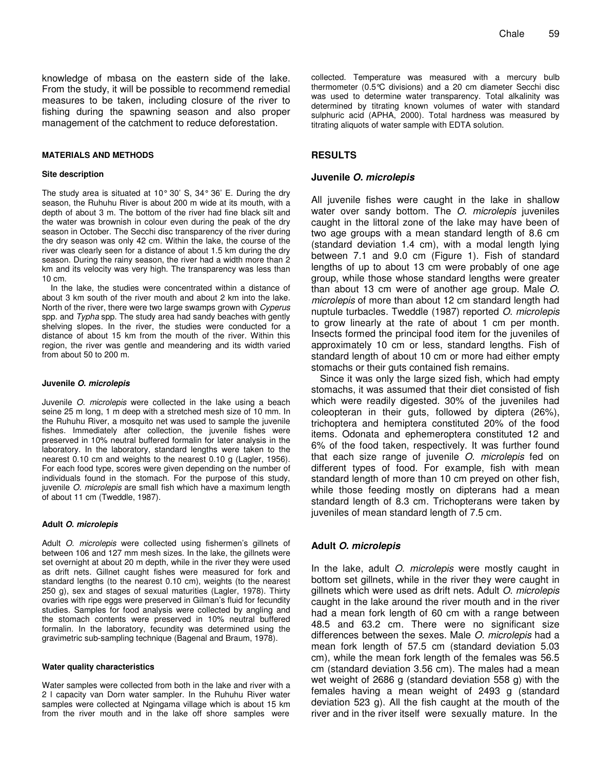knowledge of mbasa on the eastern side of the lake. From the study, it will be possible to recommend remedial measures to be taken, including closure of the river to fishing during the spawning season and also proper management of the catchment to reduce deforestation.

#### **MATERIALS AND METHODS**

#### **Site description**

The study area is situated at 10 $^{\circ}$  30' S, 34 $^{\circ}$  36' E. During the dry season, the Ruhuhu River is about 200 m wide at its mouth, with a depth of about 3 m. The bottom of the river had fine black silt and the water was brownish in colour even during the peak of the dry season in October. The Secchi disc transparency of the river during the dry season was only 42 cm. Within the lake, the course of the river was clearly seen for a distance of about 1.5 km during the dry season. During the rainy season, the river had a width more than 2 km and its velocity was very high. The transparency was less than 10 cm.

In the lake, the studies were concentrated within a distance of about 3 km south of the river mouth and about 2 km into the lake. North of the river, there were two large swamps grown with *Cyperus* spp. and *Typha* spp. The study area had sandy beaches with gently shelving slopes. In the river, the studies were conducted for a distance of about 15 km from the mouth of the river. Within this region, the river was gentle and meandering and its width varied from about 50 to 200 m.

#### **Juvenile** *O***.** *microlepis*

Juvenile *O. microlepis* were collected in the lake using a beach seine 25 m long, 1 m deep with a stretched mesh size of 10 mm. In the Ruhuhu River, a mosquito net was used to sample the juvenile fishes. Immediately after collection, the juvenile fishes were preserved in 10% neutral buffered formalin for later analysis in the laboratory. In the laboratory, standard lengths were taken to the nearest 0.10 cm and weights to the nearest 0.10 g (Lagler, 1956). For each food type, scores were given depending on the number of individuals found in the stomach. For the purpose of this study, juvenile *O. microlepis* are small fish which have a maximum length of about 11 cm (Tweddle, 1987).

#### **Adult** *O***.** *microlepis*

Adult *O. microlepis* were collected using fishermen's gillnets of between 106 and 127 mm mesh sizes. In the lake, the gillnets were set overnight at about 20 m depth, while in the river they were used as drift nets. Gillnet caught fishes were measured for fork and standard lengths (to the nearest 0.10 cm), weights (to the nearest 250 g), sex and stages of sexual maturities (Lagler, 1978). Thirty ovaries with ripe eggs were preserved in Gilman's fluid for fecundity studies. Samples for food analysis were collected by angling and the stomach contents were preserved in 10% neutral buffered formalin. In the laboratory, fecundity was determined using the gravimetric sub-sampling technique (Bagenal and Braum, 1978).

#### **Water quality characteristics**

Water samples were collected from both in the lake and river with a 2 l capacity van Dorn water sampler. In the Ruhuhu River water samples were collected at Ngingama village which is about 15 km from the river mouth and in the lake off shore samples were

collected. Temperature was measured with a mercury bulb thermometer (0.5°C divisions) and a 20 cm diameter Secchi disc was used to determine water transparency. Total alkalinity was determined by titrating known volumes of water with standard sulphuric acid (APHA, 2000). Total hardness was measured by titrating aliquots of water sample with EDTA solution.

#### **RESULTS**

## **Juvenile** *O. microlepis*

All juvenile fishes were caught in the lake in shallow water over sandy bottom. The *O*. *microlepis* juveniles caught in the littoral zone of the lake may have been of two age groups with a mean standard length of 8.6 cm (standard deviation 1.4 cm), with a modal length lying between 7.1 and 9.0 cm (Figure 1). Fish of standard lengths of up to about 13 cm were probably of one age group, while those whose standard lengths were greater than about 13 cm were of another age group. Male *O*. *microlepis* of more than about 12 cm standard length had nuptule turbacles. Tweddle (1987) reported *O*. *microlepis* to grow linearly at the rate of about 1 cm per month. Insects formed the principal food item for the juveniles of approximately 10 cm or less, standard lengths. Fish of standard length of about 10 cm or more had either empty stomachs or their guts contained fish remains.

Since it was only the large sized fish, which had empty stomachs, it was assumed that their diet consisted of fish which were readily digested. 30% of the juveniles had coleopteran in their guts, followed by diptera (26%), trichoptera and hemiptera constituted 20% of the food items. Odonata and ephemeroptera constituted 12 and 6% of the food taken, respectively. It was further found that each size range of juvenile *O*. *microlepis* fed on different types of food. For example, fish with mean standard length of more than 10 cm preyed on other fish, while those feeding mostly on dipterans had a mean standard length of 8.3 cm. Trichopterans were taken by juveniles of mean standard length of 7.5 cm.

#### **Adult** *O***.** *microlepis*

In the lake, adult *O*. *microlepis* were mostly caught in bottom set gillnets, while in the river they were caught in gillnets which were used as drift nets. Adult *O*. *microlepis* caught in the lake around the river mouth and in the river had a mean fork length of 60 cm with a range between 48.5 and 63.2 cm. There were no significant size differences between the sexes. Male *O*. *microlepis* had a mean fork length of 57.5 cm (standard deviation 5.03 cm), while the mean fork length of the females was 56.5 cm (standard deviation 3.56 cm). The males had a mean wet weight of 2686 g (standard deviation 558 g) with the females having a mean weight of 2493 g (standard deviation 523 g). All the fish caught at the mouth of the river and in the river itself were sexually mature. In the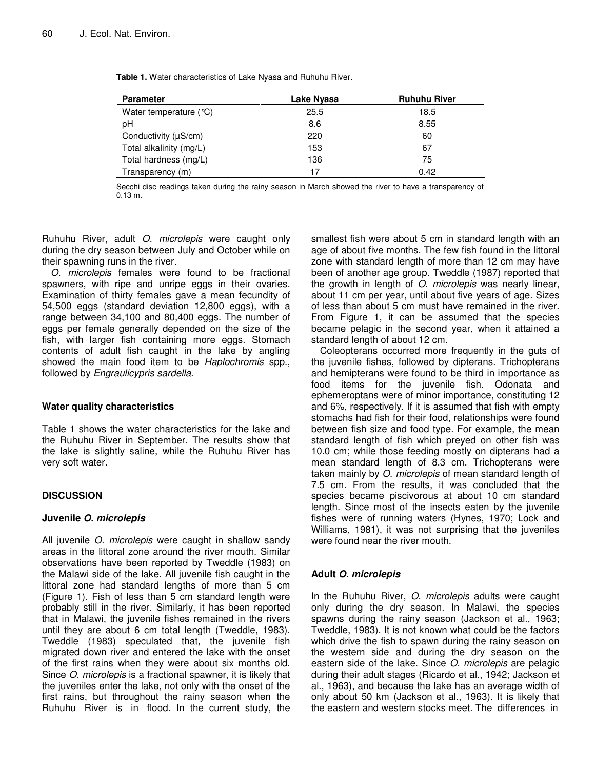| <b>Parameter</b>          | Lake Nyasa | <b>Ruhuhu River</b> |
|---------------------------|------------|---------------------|
| Water temperature $(°C)$  | 25.5       | 18.5                |
| рH                        | 8.6        | 8.55                |
| Conductivity $(\mu S/cm)$ | 220        | 60                  |
| Total alkalinity (mg/L)   | 153        | 67                  |
| Total hardness (mg/L)     | 136        | 75                  |
| Transparency (m)          | 17         | 0.42                |

Secchi disc readings taken during the rainy season in March showed the river to have a transparency of 0.13 m.

Ruhuhu River, adult *O. microlepis* were caught only during the dry season between July and October while on their spawning runs in the river.

*O*. *microlepis* females were found to be fractional spawners, with ripe and unripe eggs in their ovaries. Examination of thirty females gave a mean fecundity of 54,500 eggs (standard deviation 12,800 eggs), with a range between 34,100 and 80,400 eggs. The number of eggs per female generally depended on the size of the fish, with larger fish containing more eggs. Stomach contents of adult fish caught in the lake by angling showed the main food item to be *Haplochromis* spp., followed by *Engraulicypris sardella*.

#### **Water quality characteristics**

Table 1 shows the water characteristics for the lake and the Ruhuhu River in September. The results show that the lake is slightly saline, while the Ruhuhu River has very soft water.

## **DISCUSSION**

## **Juvenile** *O***.** *microlepis*

All juvenile *O*. *microlepis* were caught in shallow sandy areas in the littoral zone around the river mouth. Similar observations have been reported by Tweddle (1983) on the Malawi side of the lake. All juvenile fish caught in the littoral zone had standard lengths of more than 5 cm (Figure 1). Fish of less than 5 cm standard length were probably still in the river. Similarly, it has been reported that in Malawi, the juvenile fishes remained in the rivers until they are about 6 cm total length (Tweddle, 1983). Tweddle (1983) speculated that, the juvenile fish migrated down river and entered the lake with the onset of the first rains when they were about six months old. Since *O*. *microlepis* is a fractional spawner, it is likely that the juveniles enter the lake, not only with the onset of the first rains, but throughout the rainy season when the Ruhuhu River is in flood. In the current study, the

smallest fish were about 5 cm in standard length with an age of about five months. The few fish found in the littoral zone with standard length of more than 12 cm may have been of another age group. Tweddle (1987) reported that the growth in length of *O*. *microlepis* was nearly linear, about 11 cm per year, until about five years of age. Sizes of less than about 5 cm must have remained in the river. From Figure 1, it can be assumed that the species became pelagic in the second year, when it attained a standard length of about 12 cm.

Coleopterans occurred more frequently in the guts of the juvenile fishes, followed by dipterans. Trichopterans and hemipterans were found to be third in importance as food items for the juvenile fish. Odonata and ephemeroptans were of minor importance, constituting 12 and 6%, respectively. If it is assumed that fish with empty stomachs had fish for their food, relationships were found between fish size and food type. For example, the mean standard length of fish which preyed on other fish was 10.0 cm; while those feeding mostly on dipterans had a mean standard length of 8.3 cm. Trichopterans were taken mainly by *O*. *microlepis* of mean standard length of 7.5 cm. From the results, it was concluded that the species became piscivorous at about 10 cm standard length. Since most of the insects eaten by the juvenile fishes were of running waters (Hynes, 1970; Lock and Williams, 1981), it was not surprising that the juveniles were found near the river mouth.

## **Adult** *O***.** *microlepis*

In the Ruhuhu River, *O*. *microlepis* adults were caught only during the dry season. In Malawi, the species spawns during the rainy season (Jackson et al., 1963; Tweddle, 1983). It is not known what could be the factors which drive the fish to spawn during the rainy season on the western side and during the dry season on the eastern side of the lake. Since *O*. *microlepis* are pelagic during their adult stages (Ricardo et al., 1942; Jackson et al., 1963), and because the lake has an average width of only about 50 km (Jackson et al., 1963). It is likely that the eastern and western stocks meet. The differences in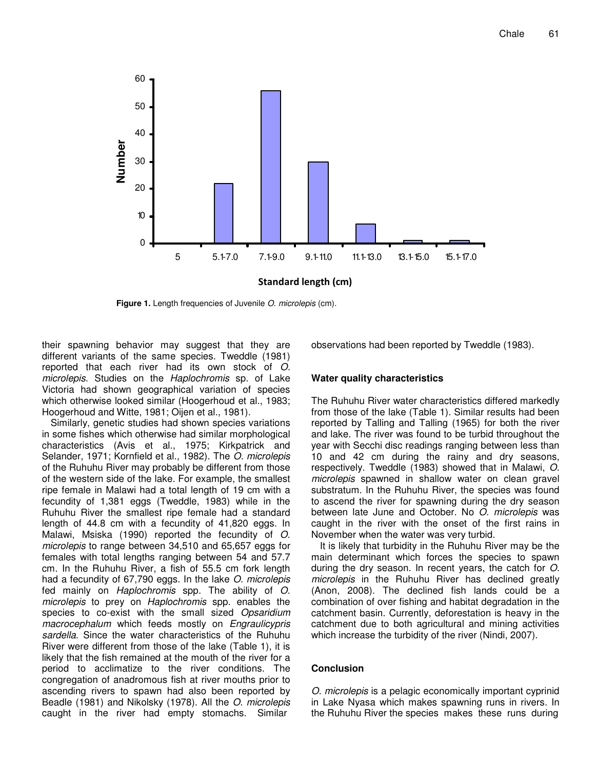

**Figure 1.** Length frequencies of Juvenile *O*. *microlepis* (cm).

their spawning behavior may suggest that they are different variants of the same species. Tweddle (1981) reported that each river had its own stock of *O. microlepis*. Studies on the *Haplochromis* sp. of Lake Victoria had shown geographical variation of species which otherwise looked similar (Hoogerhoud et al., 1983; Hoogerhoud and Witte, 1981; Oijen et al., 1981).

Similarly, genetic studies had shown species variations in some fishes which otherwise had similar morphological characteristics (Avis et al., 1975; Kirkpatrick and Selander, 1971; Kornfield et al., 1982). The *O. microlepis* of the Ruhuhu River may probably be different from those of the western side of the lake. For example, the smallest ripe female in Malawi had a total length of 19 cm with a fecundity of 1,381 eggs (Tweddle, 1983) while in the Ruhuhu River the smallest ripe female had a standard length of 44.8 cm with a fecundity of 41,820 eggs. In Malawi, Msiska (1990) reported the fecundity of *O*. *microlepis* to range between 34,510 and 65,657 eggs for females with total lengths ranging between 54 and 57.7 cm. In the Ruhuhu River, a fish of 55.5 cm fork length had a fecundity of 67,790 eggs. In the lake *O*. *microlepis* fed mainly on *Haplochromis* spp. The ability of *O*. *microlepis* to prey on *Haplochromis* spp. enables the species to co-exist with the small sized *Opsaridium macrocephalum* which feeds mostly on *Engraulicypris sardella*. Since the water characteristics of the Ruhuhu River were different from those of the lake (Table 1), it is likely that the fish remained at the mouth of the river for a period to acclimatize to the river conditions. The congregation of anadromous fish at river mouths prior to ascending rivers to spawn had also been reported by Beadle (1981) and Nikolsky (1978). All the *O*. *microlepis* caught in the river had empty stomachs. Similar

observations had been reported by Tweddle (1983).

#### **Water quality characteristics**

The Ruhuhu River water characteristics differed markedly from those of the lake (Table 1). Similar results had been reported by Talling and Talling (1965) for both the river and lake. The river was found to be turbid throughout the year with Secchi disc readings ranging between less than 10 and 42 cm during the rainy and dry seasons, respectively. Tweddle (1983) showed that in Malawi, *O. microlepis* spawned in shallow water on clean gravel substratum. In the Ruhuhu River, the species was found to ascend the river for spawning during the dry season between late June and October. No *O*. *microlepis* was caught in the river with the onset of the first rains in November when the water was very turbid.

It is likely that turbidity in the Ruhuhu River may be the main determinant which forces the species to spawn during the dry season. In recent years, the catch for *O*. *microlepis* in the Ruhuhu River has declined greatly (Anon, 2008). The declined fish lands could be a combination of over fishing and habitat degradation in the catchment basin. Currently, deforestation is heavy in the catchment due to both agricultural and mining activities which increase the turbidity of the river (Nindi, 2007).

#### **Conclusion**

*O*. *microlepis* is a pelagic economically important cyprinid in Lake Nyasa which makes spawning runs in rivers. In the Ruhuhu River the species makes these runs during